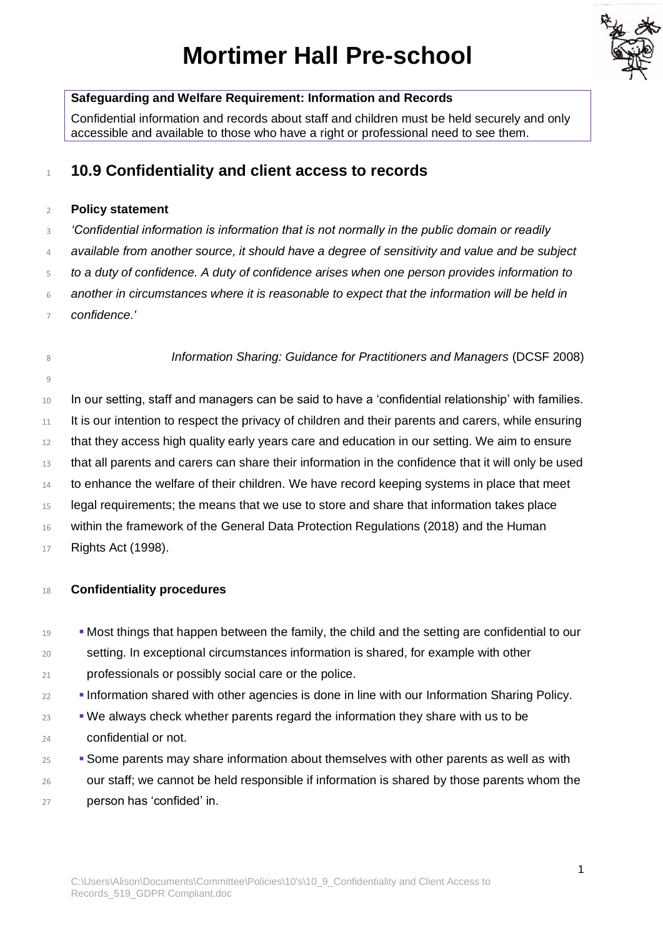# **Mortimer Hall Pre-school**



## **Safeguarding and Welfare Requirement: Information and Records**

Confidential information and records about staff and children must be held securely and only accessible and available to those who have a right or professional need to see them.

## **10.9 Confidentiality and client access to records**

## **Policy statement**

- *'Confidential information is information that is not normally in the public domain or readily*
- *available from another source, it should have a degree of sensitivity and value and be subject*
- *to a duty of confidence. A duty of confidence arises when one person provides information to*
- *another in circumstances where it is reasonable to expect that the information will be held in*
- *confidence.'*

*Information Sharing: Guidance for Practitioners and Managers* (DCSF 2008)

In our setting, staff and managers can be said to have a 'confidential relationship' with families.

- It is our intention to respect the privacy of children and their parents and carers, while ensuring
- that they access high quality early years care and education in our setting. We aim to ensure
- that all parents and carers can share their information in the confidence that it will only be used
- to enhance the welfare of their children. We have record keeping systems in place that meet
- 15 legal requirements; the means that we use to store and share that information takes place
- 16 within the framework of the General Data Protection Regulations (2018) and the Human
- Rights Act (1998).

## **Confidentiality procedures**

- **IS EXECT THE MOST THINGS THAT HAPPEN DETECT THE SETT FOOT FAMOS I** THOUSE THE MOST THOUSE THE MOST THOUSE THE MOST THE MOST THE MOST THE MOST THE MOST THE MOST THE MOST THE MOST THE MOST THE MOST THE MOST THE MOST THE M
- setting. In exceptional circumstances information is shared, for example with other professionals or possibly social care or the police.
- **EXECUTE:** Information shared with other agencies is done in line with our Information Sharing Policy.
- $\bullet$  We always check whether parents regard the information they share with us to be confidential or not.
- **EXECUTE:** Some parents may share information about themselves with other parents as well as with our staff; we cannot be held responsible if information is shared by those parents whom the person has 'confided' in.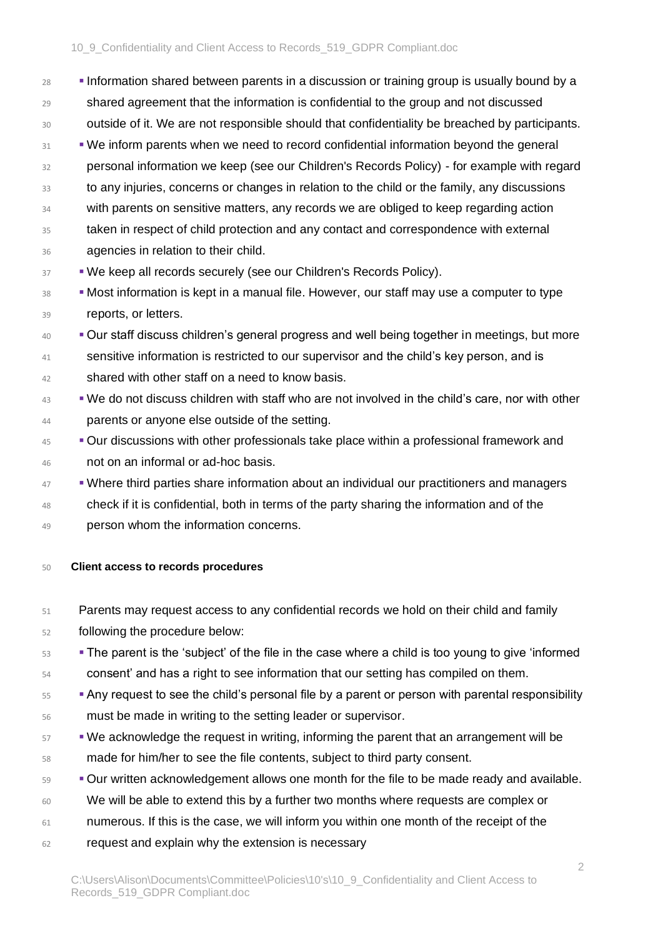**■** Information shared between parents in a discussion or training group is usually bound by a shared agreement that the information is confidential to the group and not discussed 30 outside of it. We are not responsible should that confidentiality be breached by participants.  $\blacksquare$  We inform parents when we need to record confidential information beyond the general personal information we keep (see our Children's Records Policy) - for example with regard to any injuries, concerns or changes in relation to the child or the family, any discussions 34 with parents on sensitive matters, any records we are obliged to keep regarding action taken in respect of child protection and any contact and correspondence with external agencies in relation to their child.

- **BEEP THE WE KEEP ALL RECORDS SECURELY (SEE OUR Children's Records Policy).**
- <sup>38</sup> Most information is kept in a manual file. However, our staff may use a computer to type 39 reports, or letters.
- <sup>40</sup> Our staff discuss children's general progress and well being together in meetings, but more 41 sensitive information is restricted to our supervisor and the child's key person, and is 42 shared with other staff on a need to know basis.
- <sup>43</sup> We do not discuss children with staff who are not involved in the child's care, nor with other 44 **parents or anyone else outside of the setting.**
- <sup>45</sup> Our discussions with other professionals take place within a professional framework and 46 not on an informal or ad-hoc basis.
- $47$   $\bullet$  Where third parties share information about an individual our practitioners and managers
- 48 check if it is confidential, both in terms of the party sharing the information and of the 49 person whom the information concerns.
- 50 **Client access to records procedures**
- 51 Parents may request access to any confidential records we hold on their child and family 52 following the procedure below:
- <sup>53</sup>  **The parent is the 'subject' of the file in the case where a child is too young to give 'informed** 54 consent' and has a right to see information that our setting has compiled on them.
- <sub>55</sub>  **Any request to see the child's personal file by a parent or person with parental responsibility** 56 must be made in writing to the setting leader or supervisor.
- <sup>57</sup> We acknowledge the request in writing, informing the parent that an arrangement will be 58 made for him/her to see the file contents, subject to third party consent.
- 59 Our written acknowledgement allows one month for the file to be made ready and available.
- 60 We will be able to extend this by a further two months where requests are complex or
- 61 numerous. If this is the case, we will inform you within one month of the receipt of the
- 62 request and explain why the extension is necessary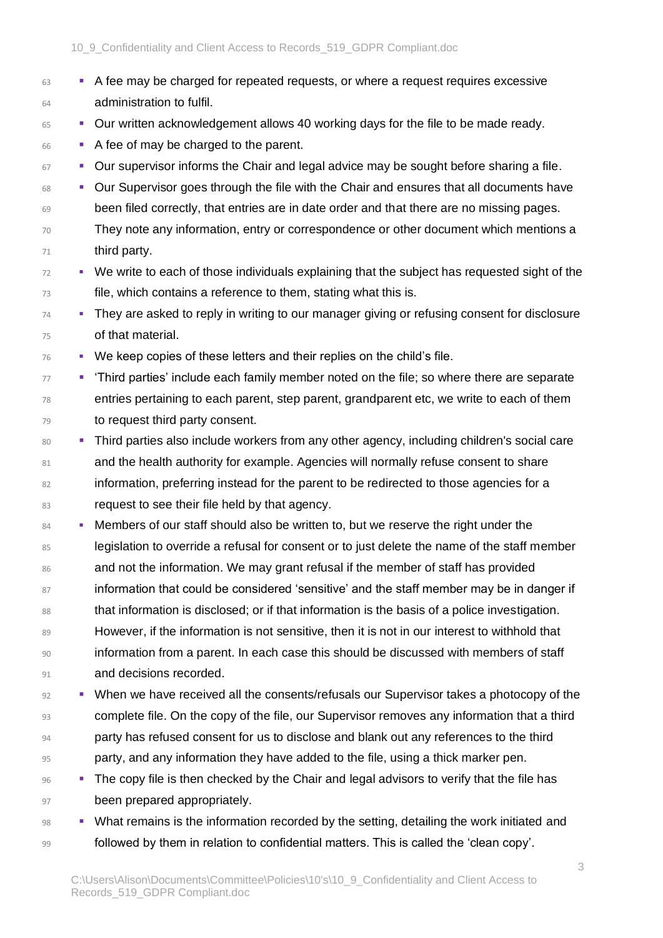- $63$   $\bullet$  A fee may be charged for repeated requests, or where a request requires excessive 64 administration to fulfil.
- $65$  **EXEC WRITE 2015 I** Our written acknowledgement allows 40 working days for the file to be made ready.
- 66 A fee of may be charged to the parent.

 $67$  **•** Our supervisor informs the Chair and legal advice may be sought before sharing a file.

- 68 Our Supervisor goes through the file with the Chair and ensures that all documents have 69 been filed correctly, that entries are in date order and that there are no missing pages.
- 70 They note any information, entry or correspondence or other document which mentions a 71 third party.
- <sup>72</sup> We write to each of those individuals explaining that the subject has requested sight of the 73 file, which contains a reference to them, stating what this is.
- $74$   $\blacksquare$  They are asked to reply in writing to our manager giving or refusing consent for disclosure 75 of that material.
- $76$   $\blacksquare$  We keep copies of these letters and their replies on the child's file.
- <sup>77</sup> **•** 'Third parties' include each family member noted on the file; so where there are separate 78 entries pertaining to each parent, step parent, grandparent etc, we write to each of them 79 to request third party consent.
- 80 Third parties also include workers from any other agency, including children's social care 81 and the health authority for example. Agencies will normally refuse consent to share 82 information, preferring instead for the parent to be redirected to those agencies for a 83 request to see their file held by that agency.
- 84 Members of our staff should also be written to, but we reserve the right under the 85 legislation to override a refusal for consent or to just delete the name of the staff member 86 and not the information. We may grant refusal if the member of staff has provided 87 information that could be considered 'sensitive' and the staff member may be in danger if 88 that information is disclosed; or if that information is the basis of a police investigation. 89 However, if the information is not sensitive, then it is not in our interest to withhold that 90 information from a parent. In each case this should be discussed with members of staff 91 **and decisions recorded.**
- $92$   $\blacksquare$  When we have received all the consents/refusals our Supervisor takes a photocopy of the 93 complete file. On the copy of the file, our Supervisor removes any information that a third 94 party has refused consent for us to disclose and blank out any references to the third 95 party, and any information they have added to the file, using a thick marker pen.
- **Example 36 The copy file is then checked by the Chair and legal advisors to verify that the file has** 97 been prepared appropriately.
- 98 What remains is the information recorded by the setting, detailing the work initiated and 99 followed by them in relation to confidential matters. This is called the 'clean copy'.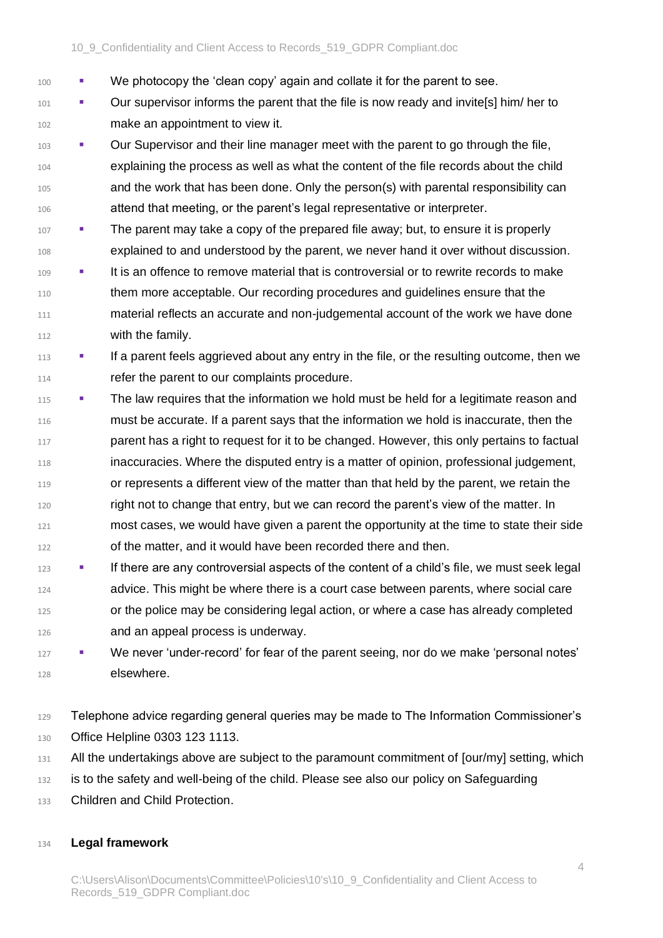- We photocopy the 'clean copy' again and collate it for the parent to see.
- **•** Our supervisor informs the parent that the file is now ready and invite[s] him/ her to make an appointment to view it.
- **Our Supervisor and their line manager meet with the parent to go through the file,**  explaining the process as well as what the content of the file records about the child and the work that has been done. Only the person(s) with parental responsibility can attend that meeting, or the parent's legal representative or interpreter.
- **The parent may take a copy of the prepared file away; but, to ensure it is properly** explained to and understood by the parent, we never hand it over without discussion.
- **•** It is an offence to remove material that is controversial or to rewrite records to make them more acceptable. Our recording procedures and guidelines ensure that the material reflects an accurate and non-judgemental account of the work we have done with the family.
- <sup>113</sup> **If a parent feels aggrieved about any entry in the file, or the resulting outcome, then we** 114 refer the parent to our complaints procedure.
- <sup>115</sup>  **The law requires that the information we hold must be held for a legitimate reason and**  must be accurate. If a parent says that the information we hold is inaccurate, then the **parent has a right to request for it to be changed. However, this only pertains to factual**  inaccuracies. Where the disputed entry is a matter of opinion, professional judgement, or represents a different view of the matter than that held by the parent, we retain the right not to change that entry, but we can record the parent's view of the matter. In most cases, we would have given a parent the opportunity at the time to state their side of the matter, and it would have been recorded there and then.
- **•** If there are any controversial aspects of the content of a child's file, we must seek legal 124 advice. This might be where there is a court case between parents, where social care or the police may be considering legal action, or where a case has already completed and an appeal process is underway.
- **•** We never 'under-record' for fear of the parent seeing, nor do we make 'personal notes' elsewhere.
- Telephone advice regarding general queries may be made to The Information Commissioner's
- 130 Office Helpline 0303 123 1113.
- 131 All the undertakings above are subject to the paramount commitment of [our/my] setting, which
- is to the safety and well-being of the child. Please see also our policy on Safeguarding
- Children and Child Protection.

## **Legal framework**